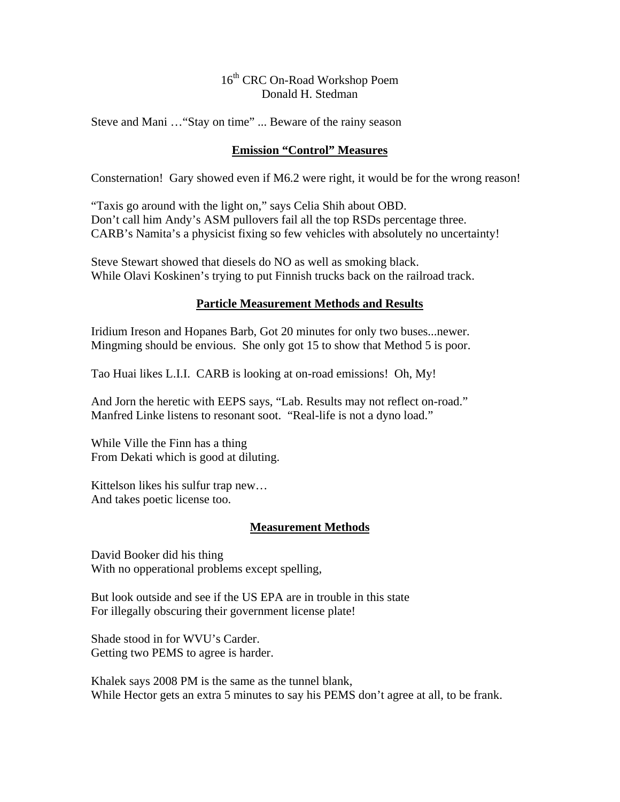# 16<sup>th</sup> CRC On-Road Workshop Poem Donald H. Stedman

Steve and Mani …"Stay on time" ... Beware of the rainy season

#### **Emission "Control" Measures**

Consternation! Gary showed even if M6.2 were right, it would be for the wrong reason!

"Taxis go around with the light on," says Celia Shih about OBD. Don't call him Andy's ASM pullovers fail all the top RSDs percentage three. CARB's Namita's a physicist fixing so few vehicles with absolutely no uncertainty!

Steve Stewart showed that diesels do NO as well as smoking black. While Olavi Koskinen's trying to put Finnish trucks back on the railroad track.

## **Particle Measurement Methods and Results**

Iridium Ireson and Hopanes Barb, Got 20 minutes for only two buses...newer. Mingming should be envious. She only got 15 to show that Method 5 is poor.

Tao Huai likes L.I.I. CARB is looking at on-road emissions! Oh, My!

And Jorn the heretic with EEPS says, "Lab. Results may not reflect on-road." Manfred Linke listens to resonant soot. "Real-life is not a dyno load."

While Ville the Finn has a thing From Dekati which is good at diluting.

Kittelson likes his sulfur trap new… And takes poetic license too.

## **Measurement Methods**

David Booker did his thing With no opperational problems except spelling,

But look outside and see if the US EPA are in trouble in this state For illegally obscuring their government license plate!

Shade stood in for WVU's Carder. Getting two PEMS to agree is harder.

Khalek says 2008 PM is the same as the tunnel blank, While Hector gets an extra 5 minutes to say his PEMS don't agree at all, to be frank.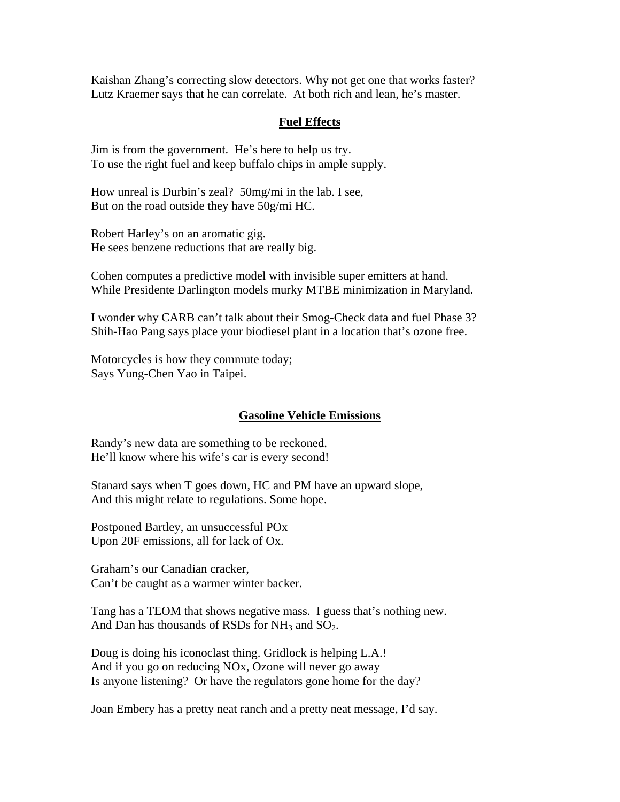Kaishan Zhang's correcting slow detectors. Why not get one that works faster? Lutz Kraemer says that he can correlate. At both rich and lean, he's master.

#### **Fuel Effects**

Jim is from the government. He's here to help us try. To use the right fuel and keep buffalo chips in ample supply.

How unreal is Durbin's zeal? 50mg/mi in the lab. I see, But on the road outside they have 50g/mi HC.

Robert Harley's on an aromatic gig. He sees benzene reductions that are really big.

Cohen computes a predictive model with invisible super emitters at hand. While Presidente Darlington models murky MTBE minimization in Maryland.

I wonder why CARB can't talk about their Smog-Check data and fuel Phase 3? Shih-Hao Pang says place your biodiesel plant in a location that's ozone free.

Motorcycles is how they commute today; Says Yung-Chen Yao in Taipei.

#### **Gasoline Vehicle Emissions**

Randy's new data are something to be reckoned. He'll know where his wife's car is every second!

Stanard says when T goes down, HC and PM have an upward slope, And this might relate to regulations. Some hope.

Postponed Bartley, an unsuccessful POx Upon 20F emissions, all for lack of Ox.

Graham's our Canadian cracker, Can't be caught as a warmer winter backer.

Tang has a TEOM that shows negative mass. I guess that's nothing new. And Dan has thousands of RSDs for  $NH_3$  and  $SO_2$ .

Doug is doing his iconoclast thing. Gridlock is helping L.A.! And if you go on reducing NOx, Ozone will never go away Is anyone listening? Or have the regulators gone home for the day?

Joan Embery has a pretty neat ranch and a pretty neat message, I'd say.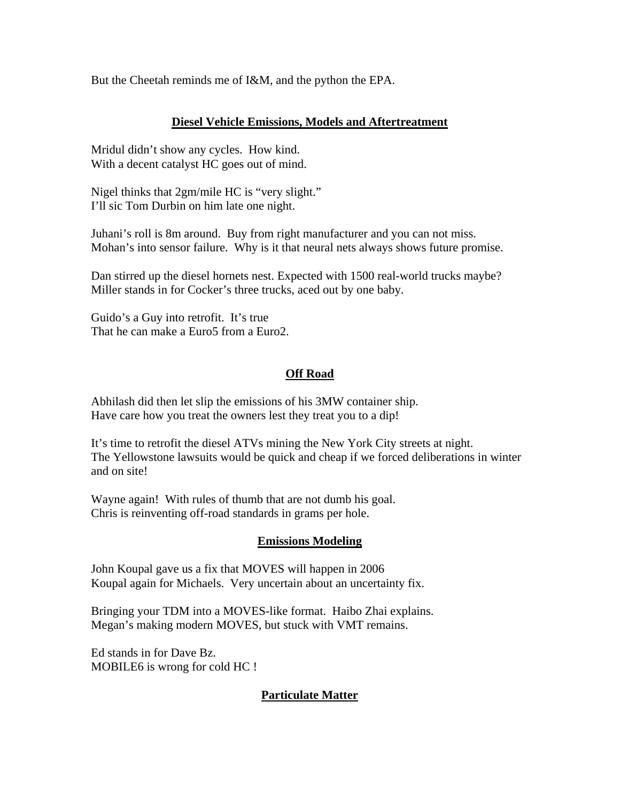But the Cheetah reminds me of I&M, and the python the EPA.

## **Diesel Vehicle Emissions, Models and Aftertreatment**

Mridul didn't show any cycles. How kind. With a decent catalyst HC goes out of mind.

Nigel thinks that 2gm/mile HC is "very slight." I'll sic Tom Durbin on him late one night.

Juhani's roll is 8m around. Buy from right manufacturer and you can not miss. Mohan's into sensor failure. Why is it that neural nets always shows future promise.

Dan stirred up the diesel hornets nest. Expected with 1500 real-world trucks maybe? Miller stands in for Cocker's three trucks, aced out by one baby.

Guido's a Guy into retrofit. It's true That he can make a Euro5 from a Euro2.

## **Off Road**

Abhilash did then let slip the emissions of his 3MW container ship. Have care how you treat the owners lest they treat you to a dip!

It's time to retrofit the diesel ATVs mining the New York City streets at night. The Yellowstone lawsuits would be quick and cheap if we forced deliberations in winter and on site!

Wayne again! With rules of thumb that are not dumb his goal. Chris is reinventing off-road standards in grams per hole.

#### **Emissions Modeling**

John Koupal gave us a fix that MOVES will happen in 2006 Koupal again for Michaels. Very uncertain about an uncertainty fix.

Bringing your TDM into a MOVES-like format. Haibo Zhai explains. Megan's making modern MOVES, but stuck with VMT remains.

Ed stands in for Dave Bz. MOBILE6 is wrong for cold HC !

## **Particulate Matter**